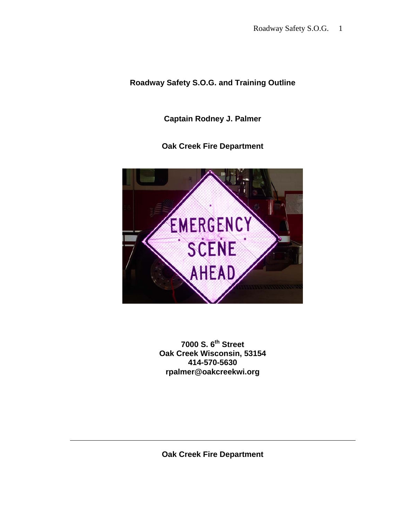# **Roadway Safety S.O.G. and Training Outline**

**Captain Rodney J. Palmer** 

**Oak Creek Fire Department** 



**7000 S. 6th Street Oak Creek Wisconsin, 53154 414-570-5630 rpalmer@oakcreekwi.org** 

**Oak Creek Fire Department**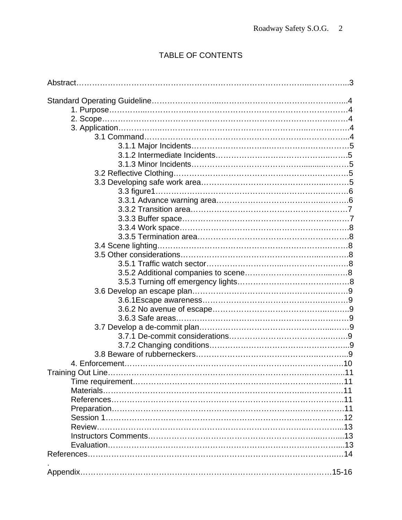# TABLE OF CONTENTS

| Review…………………………………………………………………………………………13 |  |
|--------------------------------------------|--|
|                                            |  |
|                                            |  |
|                                            |  |
|                                            |  |
|                                            |  |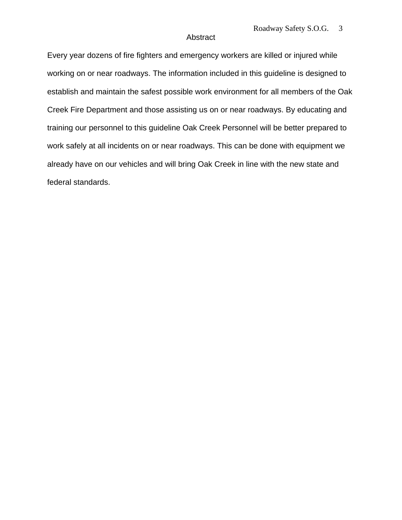#### Abstract

Every year dozens of fire fighters and emergency workers are killed or injured while working on or near roadways. The information included in this guideline is designed to establish and maintain the safest possible work environment for all members of the Oak Creek Fire Department and those assisting us on or near roadways. By educating and training our personnel to this guideline Oak Creek Personnel will be better prepared to work safely at all incidents on or near roadways. This can be done with equipment we already have on our vehicles and will bring Oak Creek in line with the new state and federal standards.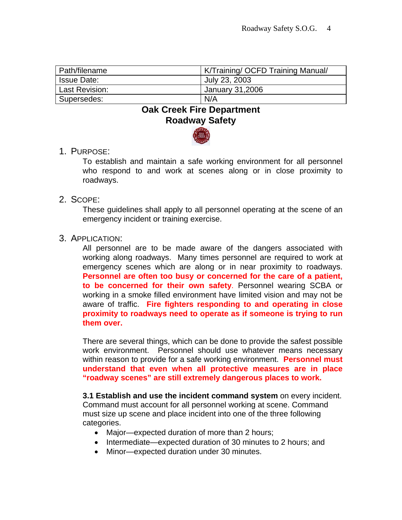| Path/filename      | K/Training/ OCFD Training Manual/ |
|--------------------|-----------------------------------|
| <b>Issue Date:</b> | July 23, 2003                     |
| Last Revision:     | January 31,2006                   |
| Supersedes:        | N/A                               |

# **Oak Creek Fire Department Roadway Safety**



1. PURPOSE:

To establish and maintain a safe working environment for all personnel who respond to and work at scenes along or in close proximity to roadways.

2. SCOPE:

These guidelines shall apply to all personnel operating at the scene of an emergency incident or training exercise.

3. APPLICATION:

All personnel are to be made aware of the dangers associated with working along roadways. Many times personnel are required to work at emergency scenes which are along or in near proximity to roadways. **Personnel are often too busy or concerned for the care of a patient, to be concerned for their own safety**. Personnel wearing SCBA or working in a smoke filled environment have limited vision and may not be aware of traffic. **Fire fighters responding to and operating in close proximity to roadways need to operate as if someone is trying to run them over.**

There are several things, which can be done to provide the safest possible work environment. Personnel should use whatever means necessary within reason to provide for a safe working environment. **Personnel must understand that even when all protective measures are in place "roadway scenes" are still extremely dangerous places to work.** 

**3.1 Establish and use the incident command system** on every incident. Command must account for all personnel working at scene. Command must size up scene and place incident into one of the three following categories.

- Major—expected duration of more than 2 hours;
- Intermediate—expected duration of 30 minutes to 2 hours; and
- Minor—expected duration under 30 minutes.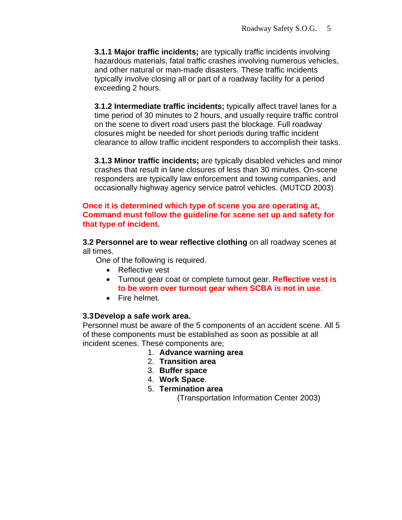**3.1.1 Major traffic incidents;** are typically traffic incidents involving hazardous materials, fatal traffic crashes involving numerous vehicles, and other natural or man-made disasters. These traffic incidents typically involve closing all or part of a roadway facility for a period exceeding 2 hours.

**3.1.2 Intermediate traffic incidents;** typically affect travel lanes for a time period of 30 minutes to 2 hours, and usually require traffic control on the scene to divert road users past the blockage. Full roadway closures might be needed for short periods during traffic incident clearance to allow traffic incident responders to accomplish their tasks.

**3.1.3 Minor traffic incidents;** are typically disabled vehicles and minor crashes that result in lane closures of less than 30 minutes. On-scene responders are typically law enforcement and towing companies, and occasionally highway agency service patrol vehicles. (MUTCD 2003)

#### **Once it is determined which type of scene you are operating at, Command must follow the guideline for scene set up and safety for that type of incident.**

**3.2 Personnel are to wear reflective clothing** on all roadway scenes at all times.

One of the following is required.

- Reflective vest
- Turnout gear coat or complete turnout gear. **Reflective vest is to be worn over turnout gear when SCBA is not in use**.
- Fire helmet.

#### **3.3 Develop a safe work area.**

Personnel must be aware of the 5 components of an accident scene. All 5 of these components must be established as soon as possible at all incident scenes. These components are;

- 1. **Advance warning area**
- 2. **Transition area**
- 3. **Buffer space**
- 4. **Work Space**.
- 5. **Termination area**

(Transportation Information Center 2003)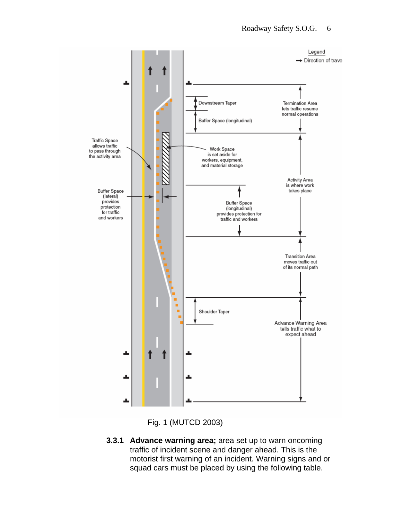

Fig. 1 (MUTCD 2003)

**3.3.1 Advance warning area;** area set up to warn oncoming traffic of incident scene and danger ahead. This is the motorist first warning of an incident. Warning signs and or squad cars must be placed by using the following table.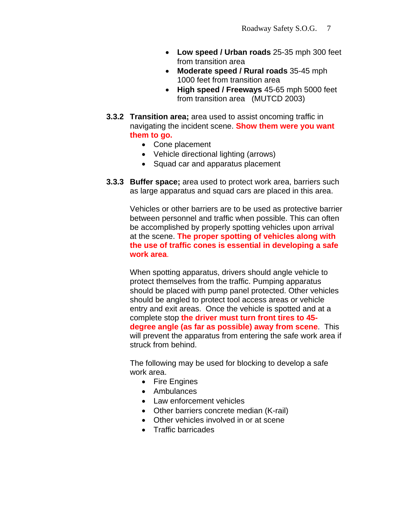- **Low speed / Urban roads** 25-35 mph 300 feet from transition area
- **Moderate speed / Rural roads** 35-45 mph 1000 feet from transition area
- **High speed / Freeways** 45-65 mph 5000 feet from transition area (MUTCD 2003)
- **3.3.2 Transition area;** area used to assist oncoming traffic in navigating the incident scene. **Show them were you want them to go.**
	- Cone placement
	- Vehicle directional lighting (arrows)
	- Squad car and apparatus placement
- **3.3.3 Buffer space;** area used to protect work area, barriers such as large apparatus and squad cars are placed in this area.

Vehicles or other barriers are to be used as protective barrier between personnel and traffic when possible. This can often be accomplished by properly spotting vehicles upon arrival at the scene. **The proper spotting of vehicles along with the use of traffic cones is essential in developing a safe work area**.

When spotting apparatus, drivers should angle vehicle to protect themselves from the traffic. Pumping apparatus should be placed with pump panel protected. Other vehicles should be angled to protect tool access areas or vehicle entry and exit areas. Once the vehicle is spotted and at a complete stop **the driver must turn front tires to 45 degree angle (as far as possible) away from scene**. This will prevent the apparatus from entering the safe work area if struck from behind.

The following may be used for blocking to develop a safe work area.

- Fire Engines
- Ambulances
- Law enforcement vehicles
- Other barriers concrete median (K-rail)
- Other vehicles involved in or at scene
- Traffic barricades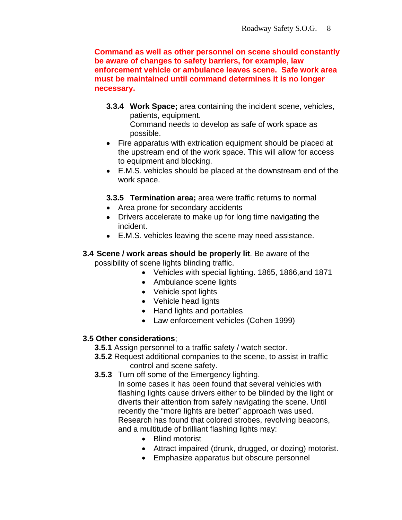**Command as well as other personnel on scene should constantly be aware of changes to safety barriers, for example, law enforcement vehicle or ambulance leaves scene. Safe work area must be maintained until command determines it is no longer necessary.** 

- **3.3.4 Work Space;** area containing the incident scene, vehicles, patients, equipment. Command needs to develop as safe of work space as possible.
- Fire apparatus with extrication equipment should be placed at the upstream end of the work space. This will allow for access to equipment and blocking.
- E.M.S. vehicles should be placed at the downstream end of the work space.
- **3.3.5 Termination area;** area were traffic returns to normal
- Area prone for secondary accidents
- Drivers accelerate to make up for long time navigating the incident.
- E.M.S. vehicles leaving the scene may need assistance.
- **3.4 Scene / work areas should be properly lit**. Be aware of the possibility of scene lights blinding traffic.
	- Vehicles with special lighting. 1865, 1866,and 1871
	- Ambulance scene lights
	- Vehicle spot lights
	- Vehicle head lights
	- Hand lights and portables
	- Law enforcement vehicles (Cohen 1999)

#### **3.5 Other considerations**;

- **3.5.1** Assign personnel to a traffic safety / watch sector.
- **3.5.2** Request additional companies to the scene, to assist in traffic control and scene safety.
- **3.5.3** Turn off some of the Emergency lighting.
	- In some cases it has been found that several vehicles with flashing lights cause drivers either to be blinded by the light or diverts their attention from safely navigating the scene. Until recently the "more lights are better" approach was used. Research has found that colored strobes, revolving beacons, and a multitude of brilliant flashing lights may:
		- Blind motorist
		- Attract impaired (drunk, drugged, or dozing) motorist.
		- Emphasize apparatus but obscure personnel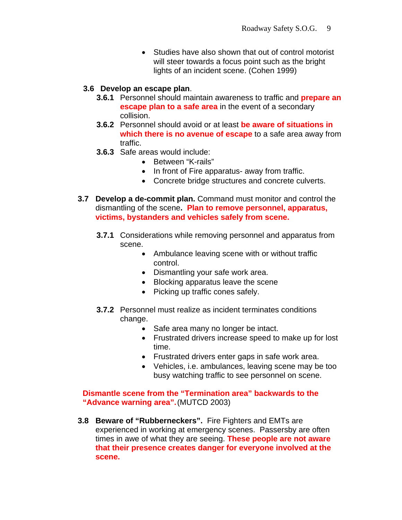• Studies have also shown that out of control motorist will steer towards a focus point such as the bright lights of an incident scene. (Cohen 1999)

#### **3.6 Develop an escape plan**.

- **3.6.1** Personnel should maintain awareness to traffic and **prepare an escape plan to a safe area** in the event of a secondary collision.
- **3.6.2** Personnel should avoid or at least **be aware of situations in which there is no avenue of escape** to a safe area away from traffic.
- **3.6.3** Safe areas would include:
	- Between "K-rails"
	- In front of Fire apparatus- away from traffic.
	- Concrete bridge structures and concrete culverts.
- **3.7 Develop a de-commit plan.** Command must monitor and control the dismantling of the scene**. Plan to remove personnel, apparatus, victims, bystanders and vehicles safely from scene.**
	- **3.7.1** Considerations while removing personnel and apparatus from scene.
		- Ambulance leaving scene with or without traffic control.
		- Dismantling your safe work area.
		- Blocking apparatus leave the scene
		- Picking up traffic cones safely.
	- **3.7.2** Personnel must realize as incident terminates conditions change.
		- Safe area many no longer be intact.
		- Frustrated drivers increase speed to make up for lost time.
		- Frustrated drivers enter gaps in safe work area.
		- Vehicles, i.e. ambulances, leaving scene may be too busy watching traffic to see personnel on scene.

**Dismantle scene from the "Termination area" backwards to the "Advance warning area".**(MUTCD 2003)

**3.8 Beware of "Rubberneckers".** Fire Fighters and EMTs are experienced in working at emergency scenes. Passersby are often times in awe of what they are seeing. **These people are not aware that their presence creates danger for everyone involved at the scene.**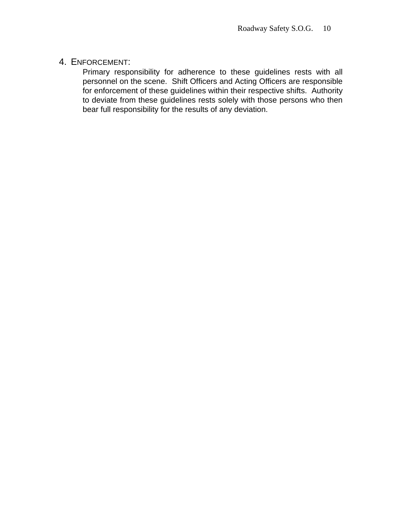## 4. ENFORCEMENT:

Primary responsibility for adherence to these guidelines rests with all personnel on the scene. Shift Officers and Acting Officers are responsible for enforcement of these guidelines within their respective shifts. Authority to deviate from these guidelines rests solely with those persons who then bear full responsibility for the results of any deviation.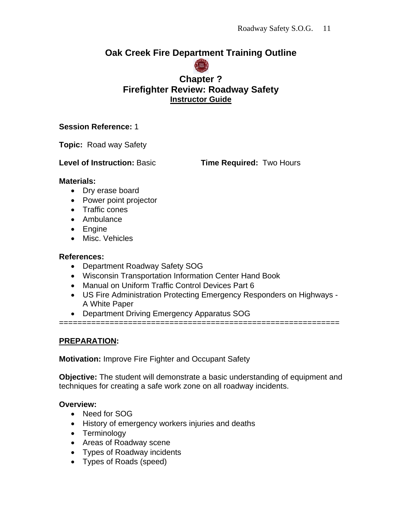# **Oak Creek Fire Department Training Outline**



# **Chapter ? Firefighter Review: Roadway Safety Instructor Guide**

## **Session Reference:** 1

**Topic:** Road way Safety

**Level of Instruction: Basic <b>Time Required:** Two Hours

## **Materials:**

- Dry erase board
- Power point projector
- Traffic cones
- Ambulance
- Engine
- Misc. Vehicles

## **References:**

- Department Roadway Safety SOG
- Wisconsin Transportation Information Center Hand Book
- Manual on Uniform Traffic Control Devices Part 6
- US Fire Administration Protecting Emergency Responders on Highways A White Paper

=============================================================

• Department Driving Emergency Apparatus SOG

# **PREPARATION:**

**Motivation:** Improve Fire Fighter and Occupant Safety

**Objective:** The student will demonstrate a basic understanding of equipment and techniques for creating a safe work zone on all roadway incidents.

## **Overview:**

- Need for SOG
- History of emergency workers injuries and deaths
- Terminology
- Areas of Roadway scene
- Types of Roadway incidents
- Types of Roads (speed)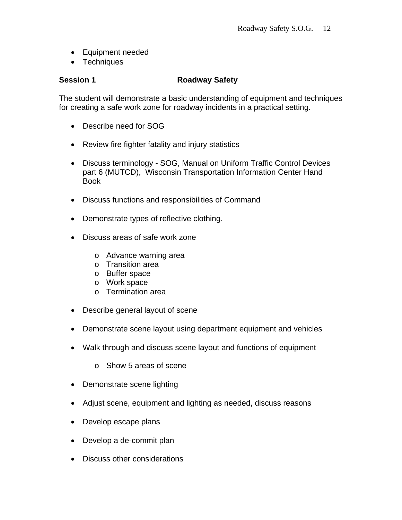- Equipment needed
- Techniques

#### **Session 1** Roadway Safety

The student will demonstrate a basic understanding of equipment and techniques for creating a safe work zone for roadway incidents in a practical setting.

- Describe need for SOG
- Review fire fighter fatality and injury statistics
- Discuss terminology SOG, Manual on Uniform Traffic Control Devices part 6 (MUTCD), Wisconsin Transportation Information Center Hand Book
- Discuss functions and responsibilities of Command
- Demonstrate types of reflective clothing.
- Discuss areas of safe work zone
	- o Advance warning area
	- o Transition area
	- o Buffer space
	- o Work space
	- o Termination area
- Describe general layout of scene
- Demonstrate scene layout using department equipment and vehicles
- Walk through and discuss scene layout and functions of equipment
	- o Show 5 areas of scene
- Demonstrate scene lighting
- Adjust scene, equipment and lighting as needed, discuss reasons
- Develop escape plans
- Develop a de-commit plan
- Discuss other considerations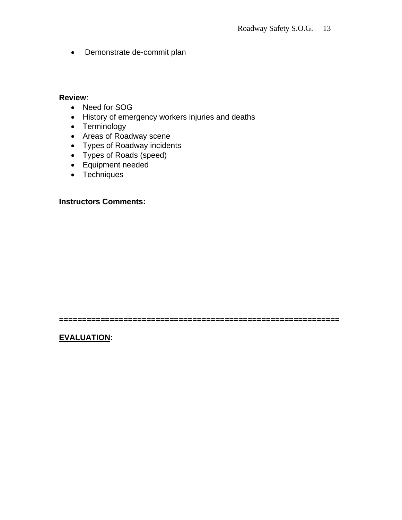• Demonstrate de-commit plan

#### **Review**:

- Need for SOG
- History of emergency workers injuries and deaths
- Terminology
- Areas of Roadway scene
- Types of Roadway incidents
- Types of Roads (speed)
- Equipment needed
- Techniques

#### **Instructors Comments:**

=============================================================

**EVALUATION:**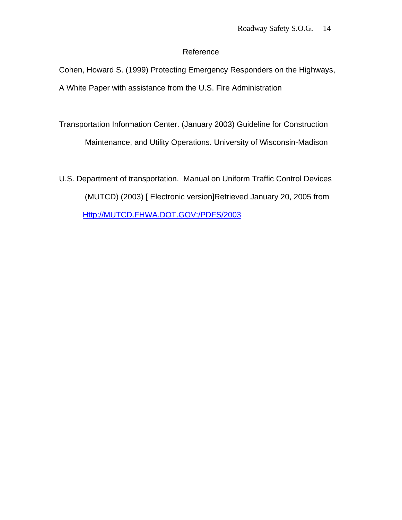## Reference

Cohen, Howard S. (1999) Protecting Emergency Responders on the Highways, A White Paper with assistance from the U.S. Fire Administration

Transportation Information Center. (January 2003) Guideline for Construction

Maintenance, and Utility Operations. University of Wisconsin-Madison

U.S. Department of transportation. Manual on Uniform Traffic Control Devices (MUTCD) (2003) [ Electronic version]Retrieved January 20, 2005 from Http://MUTCD.FHWA.DOT.GOV:/PDFS/2003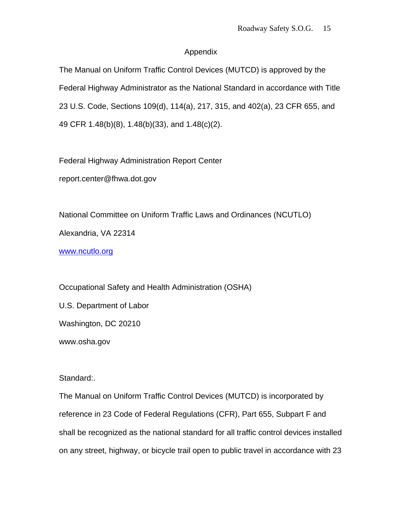#### Appendix

The Manual on Uniform Traffic Control Devices (MUTCD) is approved by the Federal Highway Administrator as the National Standard in accordance with Title 23 U.S. Code, Sections 109(d), 114(a), 217, 315, and 402(a), 23 CFR 655, and 49 CFR 1.48(b)(8), 1.48(b)(33), and 1.48(c)(2).

Federal Highway Administration Report Center

report.center@fhwa.dot.gov

National Committee on Uniform Traffic Laws and Ordinances (NCUTLO) Alexandria, VA 22314

www.ncutlo.org

Occupational Safety and Health Administration (OSHA) U.S. Department of Labor Washington, DC 20210 www.osha.gov

Standard:.

The Manual on Uniform Traffic Control Devices (MUTCD) is incorporated by reference in 23 Code of Federal Regulations (CFR), Part 655, Subpart F and shall be recognized as the national standard for all traffic control devices installed on any street, highway, or bicycle trail open to public travel in accordance with 23